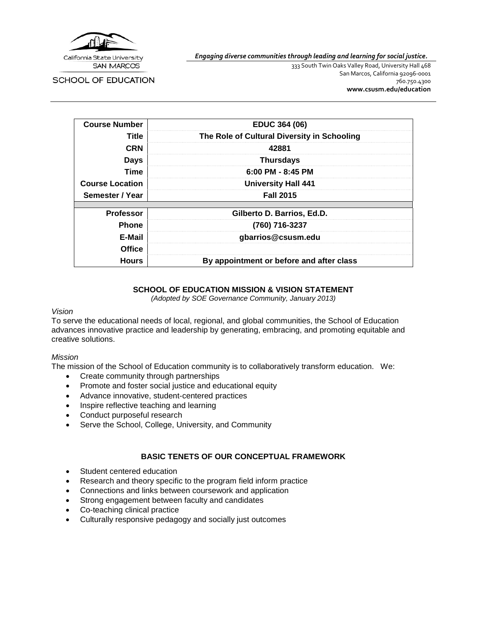

*Engaging diverse communities through leading and learning for social justice.*

**SCHOOL OF EDUCATION** 

333 South Twin Oaks Valley Road, University Hall 468 San Marcos, California 92096-0001 760.750.4300 **[www.csusm.edu/education](http://www.csusm.edu/education)**

| <b>Course Number</b>   | <b>EDUC 364 (06)</b>                        |  |
|------------------------|---------------------------------------------|--|
| Title                  | The Role of Cultural Diversity in Schooling |  |
| <b>CRN</b>             | 42881                                       |  |
| <b>Days</b>            | <b>Thursdays</b>                            |  |
| Time                   | $6:00$ PM - 8:45 PM                         |  |
| <b>Course Location</b> | <b>University Hall 441</b>                  |  |
| Semester / Year        | <b>Fall 2015</b>                            |  |
|                        |                                             |  |
| <b>Professor</b>       | Gilberto D. Barrios, Ed.D.                  |  |
| <b>Phone</b>           | (760) 716-3237                              |  |
| E-Mail                 | gbarrios@csusm.edu                          |  |
| <b>Office</b>          |                                             |  |
| <b>Hours</b>           | By appointment or before and after class    |  |

#### **SCHOOL OF EDUCATION MISSION & VISION STATEMENT**

*(Adopted by SOE Governance Community, January 2013)*

#### *Vision*

To serve the educational needs of local, regional, and global communities, the School of Education advances innovative practice and leadership by generating, embracing, and promoting equitable and creative solutions.

#### *Mission*

The mission of the School of Education community is to collaboratively transform education. We:

- Create community through partnerships
- Promote and foster social justice and educational equity
- Advance innovative, student-centered practices
- Inspire reflective teaching and learning
- Conduct purposeful research
- Serve the School, College, University, and Community

## **BASIC TENETS OF OUR CONCEPTUAL FRAMEWORK**

- Student centered education
- Research and theory specific to the program field inform practice
- Connections and links between coursework and application
- Strong engagement between faculty and candidates
- Co-teaching clinical practice
- Culturally responsive pedagogy and socially just outcomes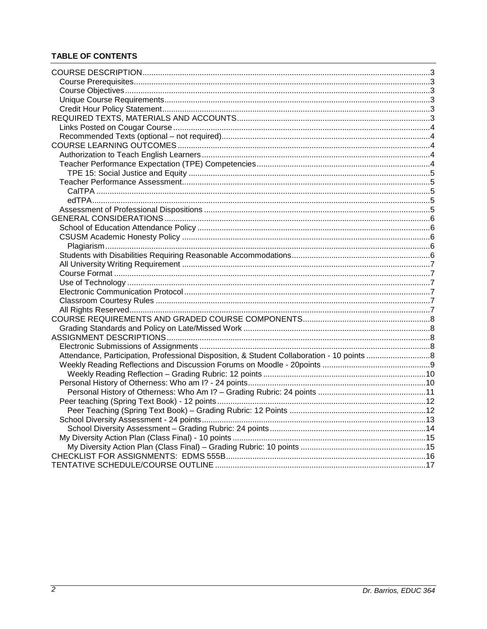# **TABLE OF CONTENTS**

| Attendance, Participation, Professional Disposition, & Student Collaboration - 10 points 8 |  |
|--------------------------------------------------------------------------------------------|--|
|                                                                                            |  |
|                                                                                            |  |
|                                                                                            |  |
|                                                                                            |  |
|                                                                                            |  |
|                                                                                            |  |
|                                                                                            |  |
|                                                                                            |  |
|                                                                                            |  |
|                                                                                            |  |
|                                                                                            |  |
|                                                                                            |  |
|                                                                                            |  |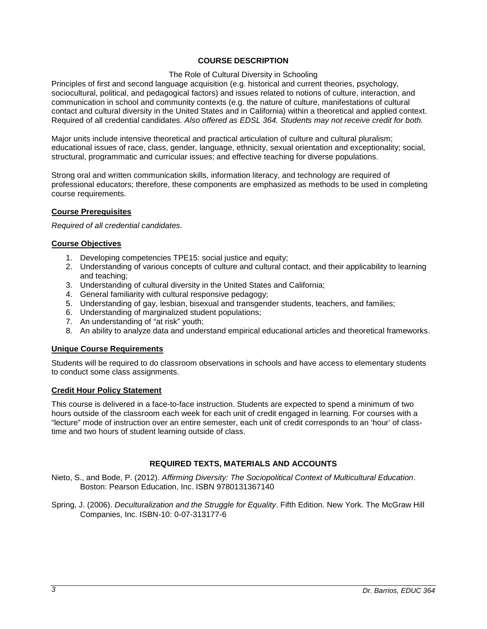## **COURSE DESCRIPTION**

#### The Role of Cultural Diversity in Schooling

<span id="page-2-0"></span>Principles of first and second language acquisition (e.g. historical and current theories, psychology, sociocultural, political, and pedagogical factors) and issues related to notions of culture, interaction, and communication in school and community contexts (e.g. the nature of culture, manifestations of cultural contact and cultural diversity in the United States and in California) within a theoretical and applied context. Required of all credential candidates. *Also offered as EDSL 364. Students may not receive credit for both.*

Major units include intensive theoretical and practical articulation of culture and cultural pluralism; educational issues of race, class, gender, language, ethnicity, sexual orientation and exceptionality; social, structural, programmatic and curricular issues; and effective teaching for diverse populations.

Strong oral and written communication skills, information literacy, and technology are required of professional educators; therefore, these components are emphasized as methods to be used in completing course requirements.

## <span id="page-2-1"></span>**Course Prerequisites**

*Required of all credential candidates.*

#### <span id="page-2-2"></span>**Course Objectives**

- 1. Developing competencies TPE15: social justice and equity;
- 2. Understanding of various concepts of culture and cultural contact, and their applicability to learning and teaching;
- 3. Understanding of cultural diversity in the United States and California;
- 4. General familiarity with cultural responsive pedagogy;
- 5. Understanding of gay, lesbian, bisexual and transgender students, teachers, and families;
- 6. Understanding of marginalized student populations;
- 7. An understanding of "at risk" youth;
- 8. An ability to analyze data and understand empirical educational articles and theoretical frameworks.

## <span id="page-2-3"></span>**Unique Course Requirements**

Students will be required to do classroom observations in schools and have access to elementary students to conduct some class assignments.

#### <span id="page-2-4"></span>**Credit Hour Policy Statement**

This course is delivered in a face-to-face instruction. Students are expected to spend a minimum of two hours outside of the classroom each week for each unit of credit engaged in learning. For courses with a "lecture" mode of instruction over an entire semester, each unit of credit corresponds to an 'hour' of classtime and two hours of student learning outside of class.

## **REQUIRED TEXTS, MATERIALS AND ACCOUNTS**

<span id="page-2-5"></span>Nieto, S., and Bode, P. (2012). *Affirming Diversity: The Sociopolitical Context of Multicultural Education*. Boston: Pearson Education, Inc. ISBN 9780131367140

Spring, J. (2006). *Deculturalization and the Struggle for Equality*. Fifth Edition. New York. The McGraw Hill Companies, Inc. ISBN-10: 0-07-313177-6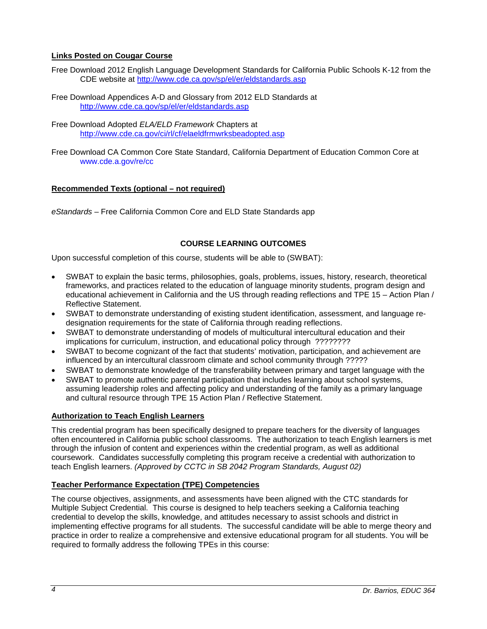## <span id="page-3-0"></span>**Links Posted on Cougar Course**

- Free Download 2012 English Language Development Standards for California Public Schools K-12 from the CDE website at<http://www.cde.ca.gov/sp/el/er/eldstandards.asp>
- Free Download Appendices A-D and Glossary from 2012 ELD Standards at <http://www.cde.ca.gov/sp/el/er/eldstandards.asp>
- Free Download Adopted *ELA/ELD Framework* Chapters at <http://www.cde.ca.gov/ci/rl/cf/elaeldfrmwrksbeadopted.asp>
- Free Download CA Common Core State Standard, California Department of Education Common Core at www.cde.a.gov/re/cc

#### <span id="page-3-1"></span>**Recommended Texts (optional – not required)**

*eStandards* – Free California Common Core and ELD State Standards app

#### **COURSE LEARNING OUTCOMES**

<span id="page-3-2"></span>Upon successful completion of this course, students will be able to (SWBAT):

- SWBAT to explain the basic terms, philosophies, goals, problems, issues, history, research, theoretical frameworks, and practices related to the education of language minority students, program design and educational achievement in California and the US through reading reflections and TPE 15 – Action Plan / Reflective Statement.
- SWBAT to demonstrate understanding of existing student identification, assessment, and language redesignation requirements for the state of California through reading reflections.
- SWBAT to demonstrate understanding of models of multicultural intercultural education and their implications for curriculum, instruction, and educational policy through ????????
- SWBAT to become cognizant of the fact that students' motivation, participation, and achievement are influenced by an intercultural classroom climate and school community through ?????
- SWBAT to demonstrate knowledge of the transferability between primary and target language with the
- SWBAT to promote authentic parental participation that includes learning about school systems, assuming leadership roles and affecting policy and understanding of the family as a primary language and cultural resource through TPE 15 Action Plan / Reflective Statement.

## <span id="page-3-3"></span>**Authorization to Teach English Learners**

This credential program has been specifically designed to prepare teachers for the diversity of languages often encountered in California public school classrooms. The authorization to teach English learners is met through the infusion of content and experiences within the credential program, as well as additional coursework. Candidates successfully completing this program receive a credential with authorization to teach English learners. *(Approved by CCTC in SB 2042 Program Standards, August 02)*

## <span id="page-3-4"></span>**Teacher Performance Expectation (TPE) Competencies**

The course objectives, assignments, and assessments have been aligned with the CTC standards for Multiple Subject Credential. This course is designed to help teachers seeking a California teaching credential to develop the skills, knowledge, and attitudes necessary to assist schools and district in implementing effective programs for all students. The successful candidate will be able to merge theory and practice in order to realize a comprehensive and extensive educational program for all students. You will be required to formally address the following TPEs in this course: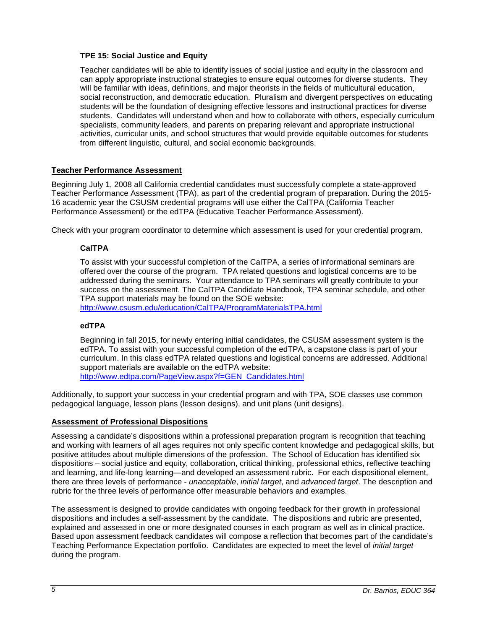## <span id="page-4-0"></span>**TPE 15: Social Justice and Equity**

Teacher candidates will be able to identify issues of social justice and equity in the classroom and can apply appropriate instructional strategies to ensure equal outcomes for diverse students. They will be familiar with ideas, definitions, and major theorists in the fields of multicultural education, social reconstruction, and democratic education. Pluralism and divergent perspectives on educating students will be the foundation of designing effective lessons and instructional practices for diverse students. Candidates will understand when and how to collaborate with others, especially curriculum specialists, community leaders, and parents on preparing relevant and appropriate instructional activities, curricular units, and school structures that would provide equitable outcomes for students from different linguistic, cultural, and social economic backgrounds.

## <span id="page-4-1"></span>**Teacher Performance Assessment**

Beginning July 1, 2008 all California credential candidates must successfully complete a state-approved Teacher Performance Assessment (TPA), as part of the credential program of preparation. During the 2015- 16 academic year the CSUSM credential programs will use either the CalTPA (California Teacher Performance Assessment) or the edTPA (Educative Teacher Performance Assessment).

<span id="page-4-2"></span>Check with your program coordinator to determine which assessment is used for your credential program.

## **CalTPA**

To assist with your successful completion of the CalTPA, a series of informational seminars are offered over the course of the program. TPA related questions and logistical concerns are to be addressed during the seminars. Your attendance to TPA seminars will greatly contribute to your success on the assessment. The CalTPA Candidate Handbook, TPA seminar schedule, and other TPA support materials may be found on the SOE website:

<http://www.csusm.edu/education/CalTPA/ProgramMaterialsTPA.html>

## <span id="page-4-3"></span>**edTPA**

Beginning in fall 2015, for newly entering initial candidates, the CSUSM assessment system is the edTPA. To assist with your successful completion of the edTPA, a capstone class is part of your curriculum. In this class edTPA related questions and logistical concerns are addressed. Additional support materials are available on the edTPA website: [http://www.edtpa.com/PageView.aspx?f=GEN\\_Candidates.html](http://www.edtpa.com/PageView.aspx?f=GEN_Candidates.html)

Additionally, to support your success in your credential program and with TPA, SOE classes use common pedagogical language, lesson plans (lesson designs), and unit plans (unit designs).

## <span id="page-4-4"></span>**Assessment of Professional Dispositions**

Assessing a candidate's dispositions within a professional preparation program is recognition that teaching and working with learners of all ages requires not only specific content knowledge and pedagogical skills, but positive attitudes about multiple dimensions of the profession. The School of Education has identified six dispositions – social justice and equity, collaboration, critical thinking, professional ethics, reflective teaching and learning, and life-long learning—and developed an assessment rubric. For each dispositional element, there are three levels of performance - *unacceptable*, *initial target*, and *advanced target*. The description and rubric for the three levels of performance offer measurable behaviors and examples.

The assessment is designed to provide candidates with ongoing feedback for their growth in professional dispositions and includes a self-assessment by the candidate. The dispositions and rubric are presented, explained and assessed in one or more designated courses in each program as well as in clinical practice. Based upon assessment feedback candidates will compose a reflection that becomes part of the candidate's Teaching Performance Expectation portfolio. Candidates are expected to meet the level of *initial target* during the program.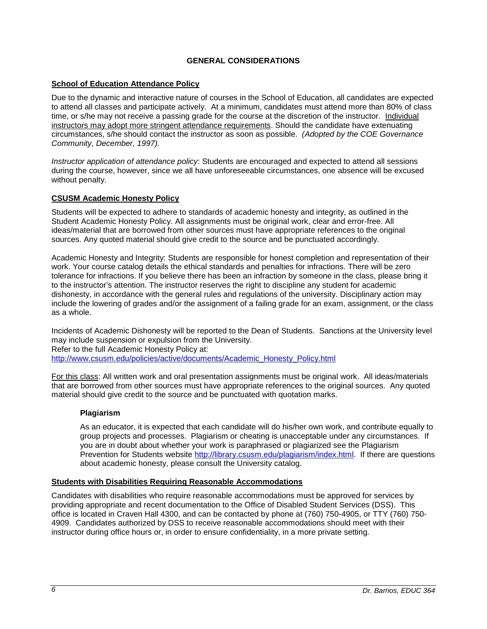## **GENERAL CONSIDERATIONS**

## <span id="page-5-1"></span><span id="page-5-0"></span>**School of Education Attendance Policy**

Due to the dynamic and interactive nature of courses in the School of Education, all candidates are expected to attend all classes and participate actively. At a minimum, candidates must attend more than 80% of class time, or s/he may not receive a passing grade for the course at the discretion of the instructor. Individual instructors may adopt more stringent attendance requirements. Should the candidate have extenuating circumstances, s/he should contact the instructor as soon as possible. *(Adopted by the COE Governance Community, December, 1997).*

*Instructor application of attendance policy*: Students are encouraged and expected to attend all sessions during the course, however, since we all have unforeseeable circumstances, one absence will be excused without penalty.

#### <span id="page-5-2"></span>**CSUSM Academic Honesty Policy**

Students will be expected to adhere to standards of academic honesty and integrity, as outlined in the Student Academic Honesty Policy. All assignments must be original work, clear and error-free. All ideas/material that are borrowed from other sources must have appropriate references to the original sources. Any quoted material should give credit to the source and be punctuated accordingly.

Academic Honesty and Integrity: Students are responsible for honest completion and representation of their work. Your course catalog details the ethical standards and penalties for infractions. There will be zero tolerance for infractions. If you believe there has been an infraction by someone in the class, please bring it to the instructor's attention. The instructor reserves the right to discipline any student for academic dishonesty, in accordance with the general rules and regulations of the university. Disciplinary action may include the lowering of grades and/or the assignment of a failing grade for an exam, assignment, or the class as a whole.

Incidents of Academic Dishonesty will be reported to the Dean of Students. Sanctions at the University level may include suspension or expulsion from the University. Refer to the full Academic Honesty Policy at:

[http://www.csusm.edu/policies/active/documents/Academic\\_Honesty\\_Policy.html](http://www.csusm.edu/policies/active/documents/Academic_Honesty_Policy.html)

For this class: All written work and oral presentation assignments must be original work. All ideas/materials that are borrowed from other sources must have appropriate references to the original sources. Any quoted material should give credit to the source and be punctuated with quotation marks.

#### <span id="page-5-3"></span>**Plagiarism**

As an educator, it is expected that each candidate will do his/her own work, and contribute equally to group projects and processes. Plagiarism or cheating is unacceptable under any circumstances. If you are in doubt about whether your work is paraphrased or plagiarized see the Plagiarism Prevention for Students website [http://library.csusm.edu/plagiarism/index.html.](http://library.csusm.edu/plagiarism/index.html) If there are questions about academic honesty, please consult the University catalog.

#### <span id="page-5-4"></span>**Students with Disabilities Requiring Reasonable Accommodations**

Candidates with disabilities who require reasonable accommodations must be approved for services by providing appropriate and recent documentation to the Office of Disabled Student Services (DSS). This office is located in Craven Hall 4300, and can be contacted by phone at (760) 750-4905, or TTY (760) 750- 4909. Candidates authorized by DSS to receive reasonable accommodations should meet with their instructor during office hours or, in order to ensure confidentiality, in a more private setting.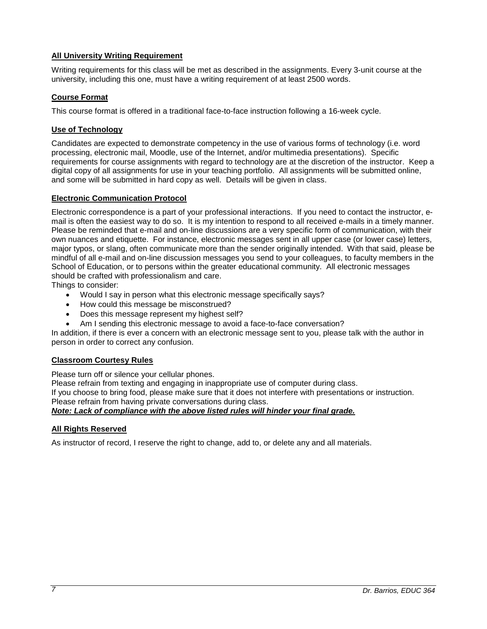## <span id="page-6-0"></span>**All University Writing Requirement**

Writing requirements for this class will be met as described in the assignments. Every 3-unit course at the university, including this one, must have a writing requirement of at least 2500 words.

## <span id="page-6-1"></span>**Course Format**

This course format is offered in a traditional face-to-face instruction following a 16-week cycle.

## <span id="page-6-2"></span>**Use of Technology**

Candidates are expected to demonstrate competency in the use of various forms of technology (i.e. word processing, electronic mail, Moodle, use of the Internet, and/or multimedia presentations). Specific requirements for course assignments with regard to technology are at the discretion of the instructor. Keep a digital copy of all assignments for use in your teaching portfolio. All assignments will be submitted online, and some will be submitted in hard copy as well. Details will be given in class.

## <span id="page-6-3"></span>**Electronic Communication Protocol**

Electronic correspondence is a part of your professional interactions. If you need to contact the instructor, email is often the easiest way to do so. It is my intention to respond to all received e-mails in a timely manner. Please be reminded that e-mail and on-line discussions are a very specific form of communication, with their own nuances and etiquette. For instance, electronic messages sent in all upper case (or lower case) letters, major typos, or slang, often communicate more than the sender originally intended. With that said, please be mindful of all e-mail and on-line discussion messages you send to your colleagues, to faculty members in the School of Education, or to persons within the greater educational community. All electronic messages should be crafted with professionalism and care.

Things to consider:

- Would I say in person what this electronic message specifically says?
- How could this message be misconstrued?
- Does this message represent my highest self?
- Am I sending this electronic message to avoid a face-to-face conversation?

In addition, if there is ever a concern with an electronic message sent to you, please talk with the author in person in order to correct any confusion.

## <span id="page-6-4"></span>**Classroom Courtesy Rules**

Please turn off or silence your cellular phones.

Please refrain from texting and engaging in inappropriate use of computer during class.

If you choose to bring food, please make sure that it does not interfere with presentations or instruction.

Please refrain from having private conversations during class.

## *Note: Lack of compliance with the above listed rules will hinder your final grade.*

#### <span id="page-6-5"></span>**All Rights Reserved**

As instructor of record, I reserve the right to change, add to, or delete any and all materials.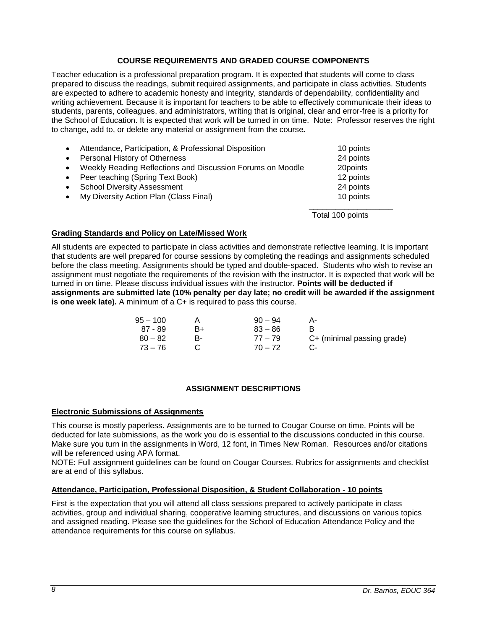## **COURSE REQUIREMENTS AND GRADED COURSE COMPONENTS**

<span id="page-7-0"></span>Teacher education is a professional preparation program. It is expected that students will come to class prepared to discuss the readings, submit required assignments, and participate in class activities. Students are expected to adhere to academic honesty and integrity, standards of dependability, confidentiality and writing achievement. Because it is important for teachers to be able to effectively communicate their ideas to students, parents, colleagues, and administrators, writing that is original, clear and error-free is a priority for the School of Education. It is expected that work will be turned in on time. Note: Professor reserves the right to change, add to, or delete any material or assignment from the course*.*

|           | Attendance, Participation, & Professional Disposition      | 10 points |
|-----------|------------------------------------------------------------|-----------|
| $\bullet$ | Personal History of Otherness                              | 24 points |
| $\bullet$ | Weekly Reading Reflections and Discussion Forums on Moodle | 20points  |
| $\bullet$ | Peer teaching (Spring Text Book)                           | 12 points |
|           | <b>School Diversity Assessment</b>                         | 24 points |
| $\bullet$ | My Diversity Action Plan (Class Final)                     | 10 points |
|           |                                                            |           |

Total 100 points

## <span id="page-7-1"></span>**Grading Standards and Policy on Late/Missed Work**

All students are expected to participate in class activities and demonstrate reflective learning. It is important that students are well prepared for course sessions by completing the readings and assignments scheduled before the class meeting. Assignments should be typed and double-spaced. Students who wish to revise an assignment must negotiate the requirements of the revision with the instructor. It is expected that work will be turned in on time. Please discuss individual issues with the instructor. **Points will be deducted if assignments are submitted late (10% penalty per day late; no credit will be awarded if the assignment is one week late).** A minimum of a C+ is required to pass this course.

| $95 - 100$ |    | $90 - 94$ |                            |
|------------|----|-----------|----------------------------|
| 87 - 89    | в+ | $83 - 86$ |                            |
| $80 - 82$  | н. | $77 - 79$ | C+ (minimal passing grade) |
| 73 – 76    |    | $70 - 72$ |                            |

## **ASSIGNMENT DESCRIPTIONS**

#### <span id="page-7-3"></span><span id="page-7-2"></span>**Electronic Submissions of Assignments**

This course is mostly paperless. Assignments are to be turned to Cougar Course on time. Points will be deducted for late submissions, as the work you do is essential to the discussions conducted in this course. Make sure you turn in the assignments in Word, 12 font, in Times New Roman. Resources and/or citations will be referenced using APA format.

NOTE: Full assignment guidelines can be found on Cougar Courses. Rubrics for assignments and checklist are at end of this syllabus.

#### <span id="page-7-4"></span>**Attendance, Participation, Professional Disposition, & Student Collaboration - 10 points**

First is the expectation that you will attend all class sessions prepared to actively participate in class activities, group and individual sharing, cooperative learning structures, and discussions on various topics and assigned reading**.** Please see the guidelines for the School of Education Attendance Policy and the attendance requirements for this course on syllabus.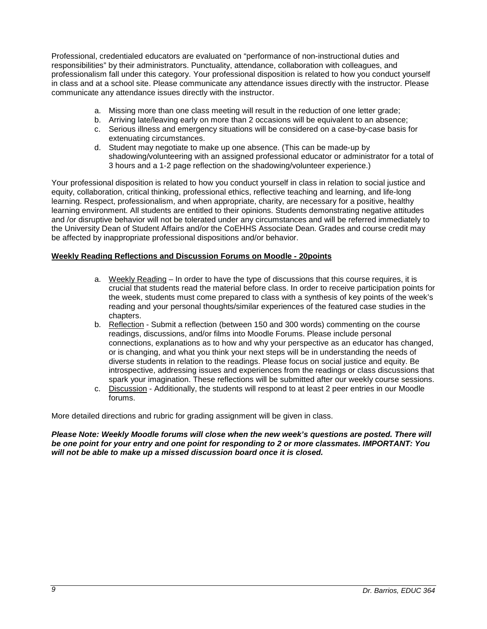Professional, credentialed educators are evaluated on "performance of non-instructional duties and responsibilities" by their administrators. Punctuality, attendance, collaboration with colleagues, and professionalism fall under this category. Your professional disposition is related to how you conduct yourself in class and at a school site. Please communicate any attendance issues directly with the instructor. Please communicate any attendance issues directly with the instructor.

- a. Missing more than one class meeting will result in the reduction of one letter grade;
- b. Arriving late/leaving early on more than 2 occasions will be equivalent to an absence;
- c. Serious illness and emergency situations will be considered on a case-by-case basis for extenuating circumstances.
- d. Student may negotiate to make up one absence. (This can be made-up by shadowing/volunteering with an assigned professional educator or administrator for a total of 3 hours and a 1-2 page reflection on the shadowing/volunteer experience.)

Your professional disposition is related to how you conduct yourself in class in relation to social justice and equity, collaboration, critical thinking, professional ethics, reflective teaching and learning, and life-long learning. Respect, professionalism, and when appropriate, charity, are necessary for a positive, healthy learning environment. All students are entitled to their opinions. Students demonstrating negative attitudes and /or disruptive behavior will not be tolerated under any circumstances and will be referred immediately to the University Dean of Student Affairs and/or the CoEHHS Associate Dean. Grades and course credit may be affected by inappropriate professional dispositions and/or behavior.

## <span id="page-8-0"></span>**Weekly Reading Reflections and Discussion Forums on Moodle - 20points**

- a. Weekly Reading In order to have the type of discussions that this course requires, it is crucial that students read the material before class. In order to receive participation points for the week, students must come prepared to class with a synthesis of key points of the week's reading and your personal thoughts/similar experiences of the featured case studies in the chapters.
- b. Reflection Submit a reflection (between 150 and 300 words) commenting on the course readings, discussions, and/or films into Moodle Forums. Please include personal connections, explanations as to how and why your perspective as an educator has changed, or is changing, and what you think your next steps will be in understanding the needs of diverse students in relation to the readings. Please focus on social justice and equity. Be introspective, addressing issues and experiences from the readings or class discussions that spark your imagination. These reflections will be submitted after our weekly course sessions.
- c. Discussion Additionally, the students will respond to at least 2 peer entries in our Moodle forums.

More detailed directions and rubric for grading assignment will be given in class.

*Please Note: Weekly Moodle forums will close when the new week's questions are posted. There will be one point for your entry and one point for responding to 2 or more classmates. IMPORTANT: You will not be able to make up a missed discussion board once it is closed.*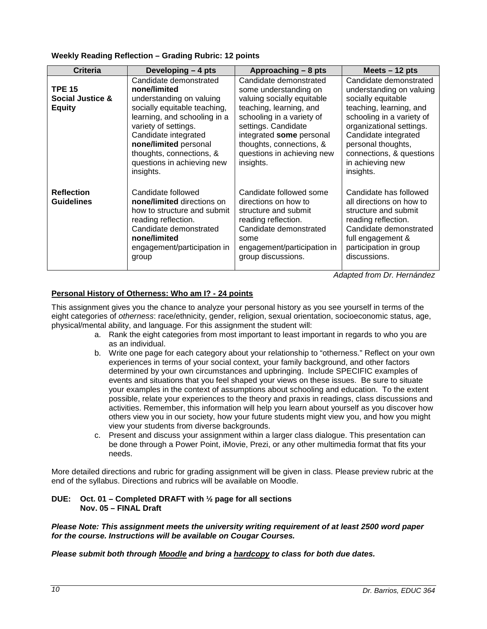## <span id="page-9-0"></span>**Weekly Reading Reflection – Grading Rubric: 12 points**

| <b>Criteria</b>                                    | Developing - 4 pts                                                                                                                                                                                                                                                                 | Approaching - 8 pts                                                                                                                                                                                                                                             | Meets $-12$ pts                                                                                                                                                                                                                                                         |
|----------------------------------------------------|------------------------------------------------------------------------------------------------------------------------------------------------------------------------------------------------------------------------------------------------------------------------------------|-----------------------------------------------------------------------------------------------------------------------------------------------------------------------------------------------------------------------------------------------------------------|-------------------------------------------------------------------------------------------------------------------------------------------------------------------------------------------------------------------------------------------------------------------------|
| <b>TPE 15</b><br>Social Justice &<br><b>Equity</b> | Candidate demonstrated<br>none/limited<br>understanding on valuing<br>socially equitable teaching,<br>learning, and schooling in a<br>variety of settings.<br>Candidate integrated<br>none/limited personal<br>thoughts, connections, &<br>questions in achieving new<br>insights. | Candidate demonstrated<br>some understanding on<br>valuing socially equitable<br>teaching, learning, and<br>schooling in a variety of<br>settings. Candidate<br>integrated some personal<br>thoughts, connections, &<br>questions in achieving new<br>insights. | Candidate demonstrated<br>understanding on valuing<br>socially equitable<br>teaching, learning, and<br>schooling in a variety of<br>organizational settings.<br>Candidate integrated<br>personal thoughts,<br>connections, & questions<br>in achieving new<br>insights. |
| <b>Reflection</b><br><b>Guidelines</b>             | Candidate followed<br>none/limited directions on<br>how to structure and submit<br>reading reflection.<br>Candidate demonstrated<br>none/limited<br>engagement/participation in<br>group                                                                                           | Candidate followed some<br>directions on how to<br>structure and submit<br>reading reflection.<br>Candidate demonstrated<br>some<br>engagement/participation in<br>group discussions.                                                                           | Candidate has followed<br>all directions on how to<br>structure and submit<br>reading reflection.<br>Candidate demonstrated<br>full engagement &<br>participation in group<br>discussions.                                                                              |

*Adapted from Dr. Hernández*

## <span id="page-9-1"></span>**Personal History of Otherness: Who am I? - 24 points**

This assignment gives you the chance to analyze your personal history as you see yourself in terms of the eight categories of *otherness*: race/ethnicity, gender, religion, sexual orientation, socioeconomic status, age, physical/mental ability, and language. For this assignment the student will:

- a. Rank the eight categories from most important to least important in regards to who you are as an individual.
- b. Write one page for each category about your relationship to "otherness." Reflect on your own experiences in terms of your social context, your family background, and other factors determined by your own circumstances and upbringing. Include SPECIFIC examples of events and situations that you feel shaped your views on these issues. Be sure to situate your examples in the context of assumptions about schooling and education. To the extent possible, relate your experiences to the theory and praxis in readings, class discussions and activities. Remember, this information will help you learn about yourself as you discover how others view you in our society, how your future students might view you, and how you might view your students from diverse backgrounds.
- c. Present and discuss your assignment within a larger class dialogue. This presentation can be done through a Power Point, iMovie, Prezi, or any other multimedia format that fits your needs.

More detailed directions and rubric for grading assignment will be given in class. Please preview rubric at the end of the syllabus. Directions and rubrics will be available on Moodle.

#### **DUE: Oct. 01 – Completed DRAFT with ½ page for all sections Nov. 05 – FINAL Draft**

*Please Note: This assignment meets the university writing requirement of at least 2500 word paper for the course. Instructions will be available on Cougar Courses.*

*Please submit both through Moodle and bring a hardcopy to class for both due dates.*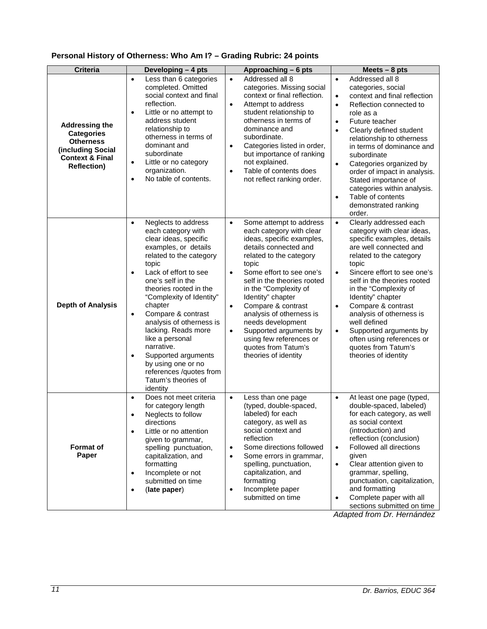# <span id="page-10-0"></span>**Personal History of Otherness: Who Am I? – Grading Rubric: 24 points**

| <b>Criteria</b>                                                                                                                         | Developing - 4 pts                                                                                                                                                                                                                                                                                                                                                                                                                                                                                                     | Approaching - 6 pts                                                                                                                                                                                                                                                                                                                                                                                                                                                                   | Meets $-8$ pts                                                                                                                                                                                                                                                                                                                                                                                                                                                                                          |
|-----------------------------------------------------------------------------------------------------------------------------------------|------------------------------------------------------------------------------------------------------------------------------------------------------------------------------------------------------------------------------------------------------------------------------------------------------------------------------------------------------------------------------------------------------------------------------------------------------------------------------------------------------------------------|---------------------------------------------------------------------------------------------------------------------------------------------------------------------------------------------------------------------------------------------------------------------------------------------------------------------------------------------------------------------------------------------------------------------------------------------------------------------------------------|---------------------------------------------------------------------------------------------------------------------------------------------------------------------------------------------------------------------------------------------------------------------------------------------------------------------------------------------------------------------------------------------------------------------------------------------------------------------------------------------------------|
| <b>Addressing the</b><br><b>Categories</b><br><b>Otherness</b><br>(including Social<br><b>Context &amp; Final</b><br><b>Reflection)</b> | Less than 6 categories<br>$\bullet$<br>completed. Omitted<br>social context and final<br>reflection.<br>Little or no attempt to<br>$\bullet$<br>address student<br>relationship to<br>otherness in terms of<br>dominant and<br>subordinate<br>Little or no category<br>$\bullet$<br>organization.<br>No table of contents.<br>$\bullet$                                                                                                                                                                                | Addressed all 8<br>$\bullet$<br>categories. Missing social<br>context or final reflection.<br>Attempt to address<br>$\bullet$<br>student relationship to<br>otherness in terms of<br>dominance and<br>subordinate.<br>Categories listed in order,<br>$\bullet$<br>but importance of ranking<br>not explained.<br>Table of contents does<br>$\bullet$<br>not reflect ranking order.                                                                                                    | Addressed all 8<br>$\bullet$<br>categories, social<br>context and final reflection<br>$\bullet$<br>Reflection connected to<br>$\bullet$<br>role as a<br>Future teacher<br>$\bullet$<br>Clearly defined student<br>$\bullet$<br>relationship to otherness<br>in terms of dominance and<br>subordinate<br>Categories organized by<br>$\bullet$<br>order of impact in analysis.<br>Stated importance of<br>categories within analysis.<br>Table of contents<br>$\bullet$<br>demonstrated ranking<br>order. |
| <b>Depth of Analysis</b>                                                                                                                | Neglects to address<br>$\bullet$<br>each category with<br>clear ideas, specific<br>examples, or details<br>related to the category<br>topic<br>Lack of effort to see<br>$\bullet$<br>one's self in the<br>theories rooted in the<br>"Complexity of Identity"<br>chapter<br>Compare & contrast<br>$\bullet$<br>analysis of otherness is<br>lacking. Reads more<br>like a personal<br>narrative.<br>Supported arguments<br>$\bullet$<br>by using one or no<br>references /quotes from<br>Tatum's theories of<br>identity | Some attempt to address<br>$\bullet$<br>each category with clear<br>ideas, specific examples,<br>details connected and<br>related to the category<br>topic<br>Some effort to see one's<br>$\bullet$<br>self in the theories rooted<br>in the "Complexity of<br>Identity" chapter<br>Compare & contrast<br>$\bullet$<br>analysis of otherness is<br>needs development<br>Supported arguments by<br>$\bullet$<br>using few references or<br>quotes from Tatum's<br>theories of identity | Clearly addressed each<br>$\bullet$<br>category with clear ideas,<br>specific examples, details<br>are well connected and<br>related to the category<br>topic<br>Sincere effort to see one's<br>$\bullet$<br>self in the theories rooted<br>in the "Complexity of<br>Identity" chapter<br>Compare & contrast<br>$\bullet$<br>analysis of otherness is<br>well defined<br>Supported arguments by<br>$\bullet$<br>often using references or<br>quotes from Tatum's<br>theories of identity                |
| <b>Format of</b><br>Paper                                                                                                               | Does not meet criteria<br>$\bullet$<br>for category length<br>Neglects to follow<br>$\bullet$<br>directions<br>Little or no attention<br>$\bullet$<br>given to grammar,<br>spelling punctuation,<br>capitalization, and<br>formatting<br>Incomplete or not<br>$\bullet$<br>submitted on time<br>(late paper)<br>$\bullet$                                                                                                                                                                                              | Less than one page<br>$\bullet$<br>(typed, double-spaced,<br>labeled) for each<br>category, as well as<br>social context and<br>reflection<br>Some directions followed<br>$\bullet$<br>Some errors in grammar,<br>$\bullet$<br>spelling, punctuation,<br>capitalization, and<br>formatting<br>Incomplete paper<br>$\bullet$<br>submitted on time                                                                                                                                      | At least one page (typed,<br>$\bullet$<br>double-spaced, labeled)<br>for each category, as well<br>as social context<br>(introduction) and<br>reflection (conclusion)<br>Followed all directions<br>$\bullet$<br>given<br>Clear attention given to<br>$\bullet$<br>grammar, spelling,<br>punctuation, capitalization,<br>and formatting<br>Complete paper with all<br>$\bullet$<br>sections submitted on time                                                                                           |

*Adapted from Dr. Hernández*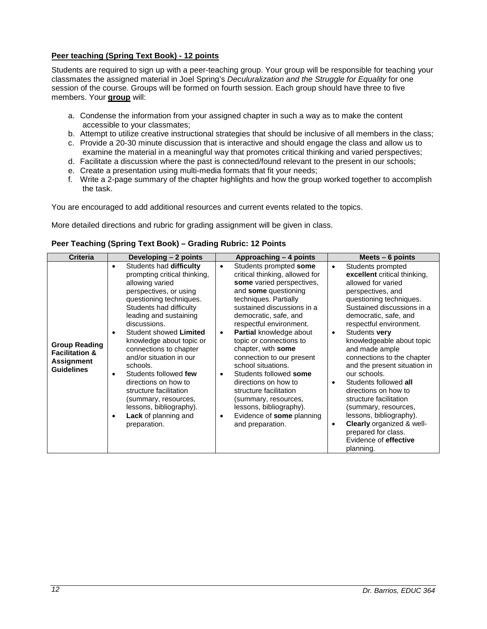## <span id="page-11-0"></span>**Peer teaching (Spring Text Book) - 12 points**

Students are required to sign up with a peer-teaching group. Your group will be responsible for teaching your classmates the assigned material in Joel Spring's *Deculuralization and the Struggle for Equality* for one session of the course. Groups will be formed on fourth session. Each group should have three to five members. Your **group** will:

- a. Condense the information from your assigned chapter in such a way as to make the content accessible to your classmates;
- b. Attempt to utilize creative instructional strategies that should be inclusive of all members in the class;
- c. Provide a 20-30 minute discussion that is interactive and should engage the class and allow us to examine the material in a meaningful way that promotes critical thinking and varied perspectives;
- d. Facilitate a discussion where the past is connected/found relevant to the present in our schools;
- e. Create a presentation using multi-media formats that fit your needs;
- f. Write a 2-page summary of the chapter highlights and how the group worked together to accomplish the task.

You are encouraged to add additional resources and current events related to the topics.

More detailed directions and rubric for grading assignment will be given in class.

#### <span id="page-11-1"></span>**Peer Teaching (Spring Text Book) – Grading Rubric: 12 Points**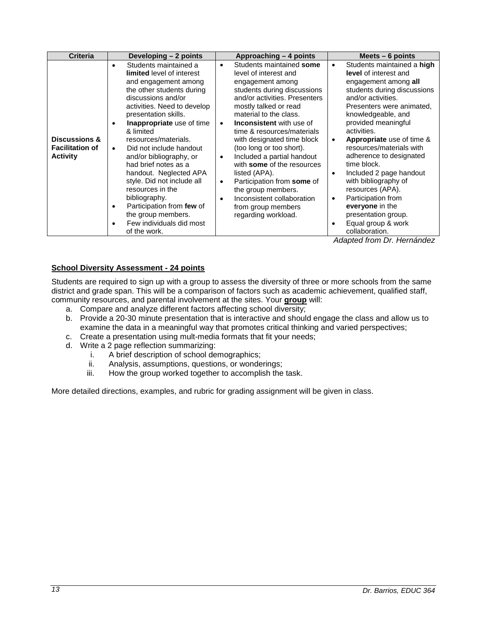| <b>Criteria</b>                                                       | Developing - 2 points                                                                                                                                                                                                                                                                                                                                                                                                                                                                                                                                | Approaching - 4 points                                                                                                                                                                                                                                                                                                                                                                                                                                                                                                                                                              | Meets $-6$ points                                                                                                                                                                                                                                                                                                                                                                                                                                                                                                                                                      |  |
|-----------------------------------------------------------------------|------------------------------------------------------------------------------------------------------------------------------------------------------------------------------------------------------------------------------------------------------------------------------------------------------------------------------------------------------------------------------------------------------------------------------------------------------------------------------------------------------------------------------------------------------|-------------------------------------------------------------------------------------------------------------------------------------------------------------------------------------------------------------------------------------------------------------------------------------------------------------------------------------------------------------------------------------------------------------------------------------------------------------------------------------------------------------------------------------------------------------------------------------|------------------------------------------------------------------------------------------------------------------------------------------------------------------------------------------------------------------------------------------------------------------------------------------------------------------------------------------------------------------------------------------------------------------------------------------------------------------------------------------------------------------------------------------------------------------------|--|
| <b>Discussions &amp;</b><br><b>Facilitation of</b><br><b>Activity</b> | Students maintained a<br><b>limited</b> level of interest<br>and engagement among<br>the other students during<br>discussions and/or<br>activities. Need to develop<br>presentation skills.<br>Inappropriate use of time<br>& limited<br>resources/materials.<br>Did not include handout<br>$\bullet$<br>and/or bibliography, or<br>had brief notes as a<br>handout. Neglected APA<br>style. Did not include all<br>resources in the<br>bibliography.<br>Participation from few of<br>the group members.<br>Few individuals did most<br>of the work. | Students maintained some<br>$\bullet$<br>level of interest and<br>engagement among<br>students during discussions<br>and/or activities. Presenters<br>mostly talked or read<br>material to the class.<br><b>Inconsistent</b> with use of<br>$\bullet$<br>time & resources/materials<br>with designated time block<br>(too long or too short).<br>Included a partial handout<br>$\bullet$<br>with some of the resources<br>listed (APA).<br>Participation from some of<br>$\bullet$<br>the group members.<br>Inconsistent collaboration<br>from group members<br>regarding workload. | Students maintained a high<br>$\bullet$<br>level of interest and<br>engagement among all<br>students during discussions<br>and/or activities.<br>Presenters were animated,<br>knowledgeable, and<br>provided meaningful<br>activities.<br><b>Appropriate</b> use of time &<br>$\bullet$<br>resources/materials with<br>adherence to designated<br>time block.<br>Included 2 page handout<br>$\bullet$<br>with bibliography of<br>resources (APA).<br>Participation from<br>$\bullet$<br>everyone in the<br>presentation group.<br>Equal group & work<br>collaboration. |  |

*Adapted from Dr. Hernández*

## <span id="page-12-0"></span>**School Diversity Assessment - 24 points**

Students are required to sign up with a group to assess the diversity of three or more schools from the same district and grade span. This will be a comparison of factors such as academic achievement, qualified staff, community resources, and parental involvement at the sites. Your **group** will:

- a. Compare and analyze different factors affecting school diversity;
- b. Provide a 20-30 minute presentation that is interactive and should engage the class and allow us to examine the data in a meaningful way that promotes critical thinking and varied perspectives;
- c. Create a presentation using mult-media formats that fit your needs;
- d. Write a 2 page reflection summarizing:
	- A brief description of school demographics;
	- ii. Analysis, assumptions, questions, or wonderings;
	- iii. How the group worked together to accomplish the task.

More detailed directions, examples, and rubric for grading assignment will be given in class.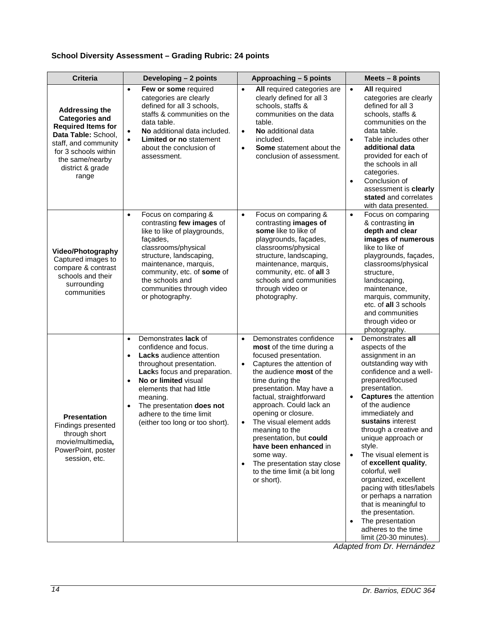# <span id="page-13-0"></span>**School Diversity Assessment – Grading Rubric: 24 points**

| <b>Criteria</b>                                                                                                                                                                                    | Developing - 2 points                                                                                                                                                                                                                                                                                                                                 | Approaching - 5 points                                                                                                                                                                                                                                                                                                                                                                                                                                                                                        | Meets $-8$ points                                                                                                                                                                                                                                                                                                                                                                                                                                                                                                                                                                                                |
|----------------------------------------------------------------------------------------------------------------------------------------------------------------------------------------------------|-------------------------------------------------------------------------------------------------------------------------------------------------------------------------------------------------------------------------------------------------------------------------------------------------------------------------------------------------------|---------------------------------------------------------------------------------------------------------------------------------------------------------------------------------------------------------------------------------------------------------------------------------------------------------------------------------------------------------------------------------------------------------------------------------------------------------------------------------------------------------------|------------------------------------------------------------------------------------------------------------------------------------------------------------------------------------------------------------------------------------------------------------------------------------------------------------------------------------------------------------------------------------------------------------------------------------------------------------------------------------------------------------------------------------------------------------------------------------------------------------------|
| <b>Addressing the</b><br><b>Categories and</b><br><b>Required Items for</b><br>Data Table: School,<br>staff, and community<br>for 3 schools within<br>the same/nearby<br>district & grade<br>range | Few or some required<br>$\bullet$<br>categories are clearly<br>defined for all 3 schools,<br>staffs & communities on the<br>data table.<br>No additional data included.<br>$\bullet$<br><b>Limited or no statement</b><br>about the conclusion of<br>assessment.                                                                                      | All required categories are<br>$\bullet$<br>clearly defined for all 3<br>schools, staffs &<br>communities on the data<br>table.<br>No additional data<br>$\bullet$<br>included.<br><b>Some</b> statement about the<br>$\bullet$<br>conclusion of assessment.                                                                                                                                                                                                                                                  | <b>All required</b><br>$\bullet$<br>categories are clearly<br>defined for all 3<br>schools, staffs &<br>communities on the<br>data table.<br>Table includes other<br>$\bullet$<br>additional data<br>provided for each of<br>the schools in all<br>categories.<br>Conclusion of<br>$\bullet$<br>assessment is clearly<br>stated and correlates<br>with data presented.                                                                                                                                                                                                                                           |
| <b>Video/Photography</b><br>Captured images to<br>compare & contrast<br>schools and their<br>surrounding<br>communities                                                                            | Focus on comparing &<br>$\bullet$<br>contrasting few images of<br>like to like of playgrounds,<br>façades,<br>classrooms/physical<br>structure, landscaping,<br>maintenance, marquis,<br>community, etc. of some of<br>the schools and<br>communities through video<br>or photography.                                                                | $\bullet$<br>Focus on comparing &<br>contrasting images of<br>some like to like of<br>playgrounds, façades,<br>classrooms/physical<br>structure, landscaping,<br>maintenance, marquis,<br>community, etc. of all 3<br>schools and communities<br>through video or<br>photography.                                                                                                                                                                                                                             | $\bullet$<br>Focus on comparing<br>& contrasting in<br>depth and clear<br>images of numerous<br>like to like of<br>playgrounds, façades,<br>classrooms/physical<br>structure,<br>landscaping,<br>maintenance,<br>marquis, community,<br>etc. of all 3 schools<br>and communities<br>through video or<br>photography.                                                                                                                                                                                                                                                                                             |
| <b>Presentation</b><br>Findings presented<br>through short<br>movie/multimedia,<br>PowerPoint, poster<br>session, etc.                                                                             | Demonstrates lack of<br>$\bullet$<br>confidence and focus.<br>Lacks audience attention<br>$\bullet$<br>throughout presentation.<br>Lacks focus and preparation.<br>No or limited visual<br>$\bullet$<br>elements that had little<br>meaning.<br>The presentation does not<br>$\bullet$<br>adhere to the time limit<br>(either too long or too short). | Demonstrates confidence<br>$\bullet$<br>most of the time during a<br>focused presentation.<br>Captures the attention of<br>$\bullet$<br>the audience <b>most</b> of the<br>time during the<br>presentation. May have a<br>factual, straightforward<br>approach. Could lack an<br>opening or closure.<br>The visual element adds<br>$\bullet$<br>meaning to the<br>presentation, but could<br>have been enhanced in<br>some way.<br>The presentation stay close<br>to the time limit (a bit long<br>or short). | Demonstrates all<br>$\bullet$<br>aspects of the<br>assignment in an<br>outstanding way with<br>confidence and a well-<br>prepared/focused<br>presentation.<br><b>Captures</b> the attention<br>$\bullet$<br>of the audience<br>immediately and<br>sustains interest<br>through a creative and<br>unique approach or<br>style.<br>The visual element is<br>$\bullet$<br>of excellent quality,<br>colorful, well<br>organized, excellent<br>pacing with titles/labels<br>or perhaps a narration<br>that is meaningful to<br>the presentation.<br>The presentation<br>adheres to the time<br>limit (20-30 minutes). |

*Adapted from Dr. Hernández*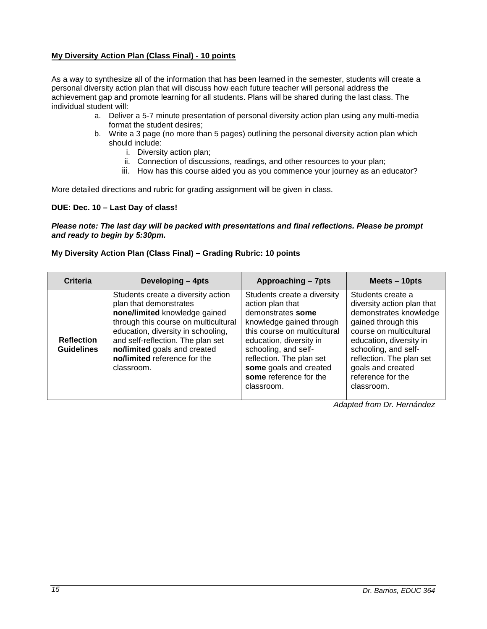## <span id="page-14-0"></span>**My Diversity Action Plan (Class Final) - 10 points**

As a way to synthesize all of the information that has been learned in the semester, students will create a personal diversity action plan that will discuss how each future teacher will personal address the achievement gap and promote learning for all students. Plans will be shared during the last class. The individual student will:

- a. Deliver a 5-7 minute presentation of personal diversity action plan using any multi-media format the student desires;
- b. Write a 3 page (no more than 5 pages) outlining the personal diversity action plan which should include:
	- i. Diversity action plan;
	- ii. Connection of discussions, readings, and other resources to your plan;
	- iii. How has this course aided you as you commence your journey as an educator?

More detailed directions and rubric for grading assignment will be given in class.

#### **DUE: Dec. 10 – Last Day of class!**

#### *Please note: The last day will be packed with presentations and final reflections. Please be prompt and ready to begin by 5:30pm.*

#### <span id="page-14-1"></span>**My Diversity Action Plan (Class Final) – Grading Rubric: 10 points**

| <b>Criteria</b>                        | Developing - 4pts                                                                                                                                                                                                                                                                              | Approaching - 7pts                                                                                                                                                                                                                                                                | Meets - 10pts                                                                                                                                                                                                                                                      |
|----------------------------------------|------------------------------------------------------------------------------------------------------------------------------------------------------------------------------------------------------------------------------------------------------------------------------------------------|-----------------------------------------------------------------------------------------------------------------------------------------------------------------------------------------------------------------------------------------------------------------------------------|--------------------------------------------------------------------------------------------------------------------------------------------------------------------------------------------------------------------------------------------------------------------|
| <b>Reflection</b><br><b>Guidelines</b> | Students create a diversity action<br>plan that demonstrates<br>none/limited knowledge gained<br>through this course on multicultural<br>education, diversity in schooling,<br>and self-reflection. The plan set<br>no/limited goals and created<br>no/limited reference for the<br>classroom. | Students create a diversity<br>action plan that<br>demonstrates some<br>knowledge gained through<br>this course on multicultural<br>education, diversity in<br>schooling, and self-<br>reflection. The plan set<br>some goals and created<br>some reference for the<br>classroom. | Students create a<br>diversity action plan that<br>demonstrates knowledge<br>gained through this<br>course on multicultural<br>education, diversity in<br>schooling, and self-<br>reflection. The plan set<br>goals and created<br>reference for the<br>classroom. |

*Adapted from Dr. Hernández*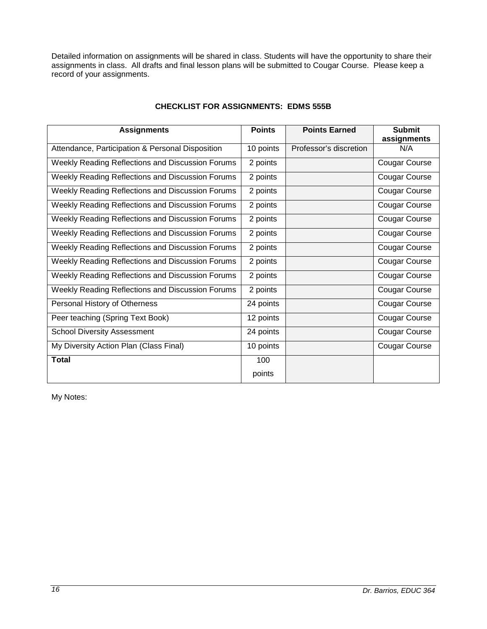Detailed information on assignments will be shared in class. Students will have the opportunity to share their assignments in class. All drafts and final lesson plans will be submitted to Cougar Course. Please keep a record of your assignments.

<span id="page-15-0"></span>

| <b>Assignments</b>                               | <b>Points</b> | <b>Points Earned</b>   | <b>Submit</b><br>assignments |
|--------------------------------------------------|---------------|------------------------|------------------------------|
| Attendance, Participation & Personal Disposition | 10 points     | Professor's discretion | N/A                          |
| Weekly Reading Reflections and Discussion Forums | 2 points      |                        | <b>Cougar Course</b>         |
| Weekly Reading Reflections and Discussion Forums | 2 points      |                        | <b>Cougar Course</b>         |
| Weekly Reading Reflections and Discussion Forums | 2 points      |                        | <b>Cougar Course</b>         |
| Weekly Reading Reflections and Discussion Forums | 2 points      |                        | <b>Cougar Course</b>         |
| Weekly Reading Reflections and Discussion Forums | 2 points      |                        | <b>Cougar Course</b>         |
| Weekly Reading Reflections and Discussion Forums | 2 points      |                        | <b>Cougar Course</b>         |
| Weekly Reading Reflections and Discussion Forums | 2 points      |                        | <b>Cougar Course</b>         |
| Weekly Reading Reflections and Discussion Forums | 2 points      |                        | <b>Cougar Course</b>         |
| Weekly Reading Reflections and Discussion Forums | 2 points      |                        | <b>Cougar Course</b>         |
| Weekly Reading Reflections and Discussion Forums | 2 points      |                        | <b>Cougar Course</b>         |
| Personal History of Otherness                    | 24 points     |                        | <b>Cougar Course</b>         |
| Peer teaching (Spring Text Book)                 | 12 points     |                        | <b>Cougar Course</b>         |
| <b>School Diversity Assessment</b>               | 24 points     |                        | Cougar Course                |
| My Diversity Action Plan (Class Final)           | 10 points     |                        | <b>Cougar Course</b>         |
| <b>Total</b>                                     | 100           |                        |                              |
|                                                  | points        |                        |                              |

# **CHECKLIST FOR ASSIGNMENTS: EDMS 555B**

My Notes: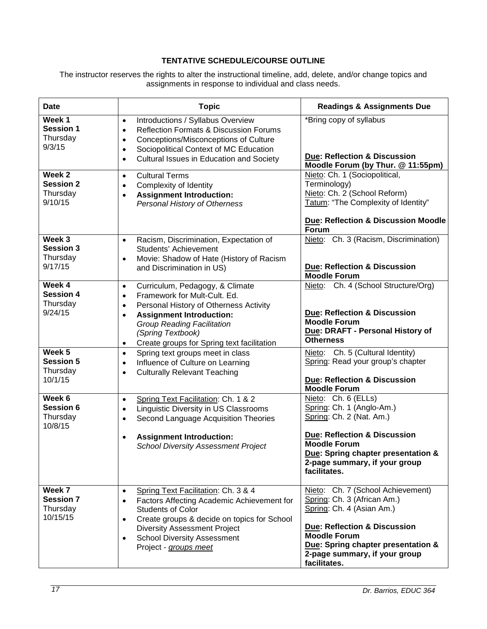## **TENTATIVE SCHEDULE/COURSE OUTLINE**

<span id="page-16-0"></span>The instructor reserves the rights to alter the instructional timeline, add, delete, and/or change topics and assignments in response to individual and class needs.

| <b>Date</b>                                                  | <b>Topic</b>                                                                                                                                                                                                                                                                                                           | <b>Readings &amp; Assignments Due</b>                                                                                                                                                                                                       |
|--------------------------------------------------------------|------------------------------------------------------------------------------------------------------------------------------------------------------------------------------------------------------------------------------------------------------------------------------------------------------------------------|---------------------------------------------------------------------------------------------------------------------------------------------------------------------------------------------------------------------------------------------|
| Week <sub>1</sub><br><b>Session 1</b><br>Thursday<br>9/3/15  | Introductions / Syllabus Overview<br>$\bullet$<br><b>Reflection Formats &amp; Discussion Forums</b><br>$\bullet$<br>Conceptions/Misconceptions of Culture<br>$\bullet$<br>Sociopolitical Context of MC Education<br>$\bullet$<br>Cultural Issues in Education and Society<br>$\bullet$                                 | *Bring copy of syllabus<br><b>Due: Reflection &amp; Discussion</b><br>Moodle Forum (by Thur. @ 11:55pm)                                                                                                                                     |
| Week 2<br><b>Session 2</b><br>Thursday<br>9/10/15            | <b>Cultural Terms</b><br>$\bullet$<br>Complexity of Identity<br>$\bullet$<br><b>Assignment Introduction:</b><br>$\bullet$<br>Personal History of Otherness                                                                                                                                                             | Nieto: Ch. 1 (Sociopolitical,<br>Terminology)<br>Nieto: Ch. 2 (School Reform)<br>Tatum: "The Complexity of Identity"<br><b>Due: Reflection &amp; Discussion Moodle</b><br><b>Forum</b>                                                      |
| Week 3<br><b>Session 3</b><br>Thursday<br>9/17/15            | Racism, Discrimination, Expectation of<br>$\bullet$<br>Students' Achievement<br>Movie: Shadow of Hate (History of Racism<br>and Discrimination in US)                                                                                                                                                                  | Nieto: Ch. 3 (Racism, Discrimination)<br>Due: Reflection & Discussion<br><b>Moodle Forum</b>                                                                                                                                                |
| Week 4<br><b>Session 4</b><br>Thursday<br>9/24/15            | Curriculum, Pedagogy, & Climate<br>$\bullet$<br>Framework for Mult-Cult. Ed.<br>$\bullet$<br>Personal History of Otherness Activity<br>$\bullet$<br><b>Assignment Introduction:</b><br>$\bullet$<br><b>Group Reading Facilitation</b><br>(Spring Textbook)<br>Create groups for Spring text facilitation<br>$\bullet$  | Nieto: Ch. 4 (School Structure/Org)<br><b>Due: Reflection &amp; Discussion</b><br><b>Moodle Forum</b><br>Due: DRAFT - Personal History of<br><b>Otherness</b>                                                                               |
| Week <sub>5</sub><br><b>Session 5</b><br>Thursday<br>10/1/15 | Spring text groups meet in class<br>$\bullet$<br>Influence of Culture on Learning<br>$\bullet$<br><b>Culturally Relevant Teaching</b><br>$\bullet$                                                                                                                                                                     | Nieto: Ch. 5 (Cultural Identity)<br>Spring: Read your group's chapter<br><b>Due: Reflection &amp; Discussion</b><br><b>Moodle Forum</b>                                                                                                     |
| Week 6<br>Session 6<br>Thursday<br>10/8/15                   | Spring Text Facilitation: Ch. 1 & 2<br>$\bullet$<br><b>Linguistic Diversity in US Classrooms</b><br>$\bullet$<br>Second Language Acquisition Theories<br>$\bullet$<br><b>Assignment Introduction:</b><br><b>School Diversity Assessment Project</b>                                                                    | Nieto: Ch. 6 (ELLs)<br>Spring: Ch. 1 (Anglo-Am.)<br>Spring: Ch. 2 (Nat. Am.)<br><b>Due: Reflection &amp; Discussion</b><br><b>Moodle Forum</b><br>Due: Spring chapter presentation &<br>2-page summary, if your group<br>facilitates.       |
| Week 7<br><b>Session 7</b><br>Thursday<br>10/15/15           | Spring Text Facilitation: Ch. 3 & 4<br>$\bullet$<br>Factors Affecting Academic Achievement for<br>$\bullet$<br><b>Students of Color</b><br>Create groups & decide on topics for School<br>$\bullet$<br><b>Diversity Assessment Project</b><br><b>School Diversity Assessment</b><br>$\bullet$<br>Project - groups meet | Nieto: Ch. 7 (School Achievement)<br>Spring: Ch. 3 (African Am.)<br>Spring: Ch. 4 (Asian Am.)<br>Due: Reflection & Discussion<br><b>Moodle Forum</b><br>Due: Spring chapter presentation &<br>2-page summary, if your group<br>facilitates. |